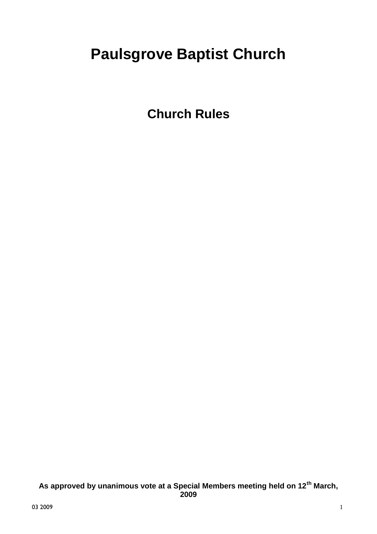# **Paulsgrove Baptist Church**

**Church Rules**

**As approved by unanimous vote at a Special Members meeting held on 12th March, 2009**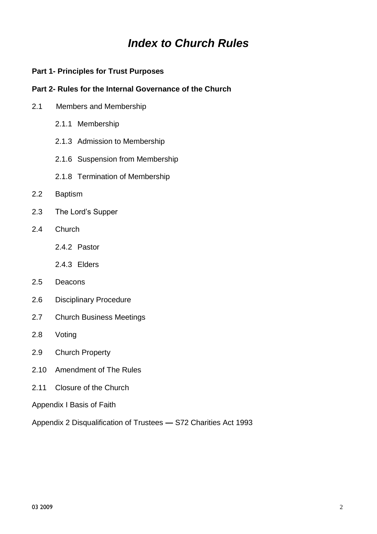# *Index to Church Rules*

### **Part 1- Principles for Trust Purposes**

# **Part 2- Rules for the Internal Governance of the Church**

- 2.1 Members and Membership
	- 2.1.1 Membership
	- 2.1.3 Admission to Membership
	- 2.1.6 Suspension from Membership
	- 2.1.8 Termination of Membership
- 2.2 Baptism
- 2.3 The Lord's Supper
- 2.4 Church
	- 2.4.2 Pastor
	- 2.4.3 Elders
- 2.5 Deacons
- 2.6 Disciplinary Procedure
- 2.7 Church Business Meetings
- 2.8 Voting
- 2.9 Church Property
- 2.10 Amendment of The Rules
- 2.11 Closure of the Church

Appendix I Basis of Faith

Appendix 2 Disqualification of Trustees *—* S72 Charities Act 1993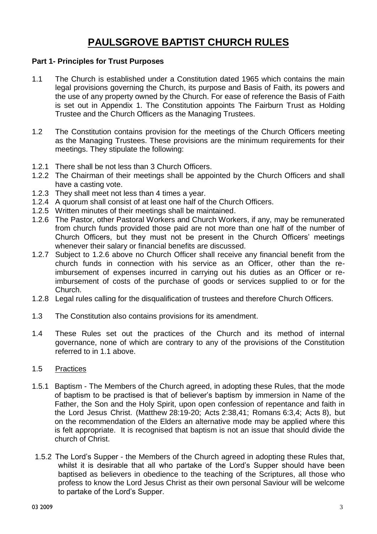# **PAULSGROVE BAPTIST CHURCH RULES**

#### **Part 1- Principles for Trust Purposes**

- 1.1 The Church is established under a Constitution dated 1965 which contains the main legal provisions governing the Church, its purpose and Basis of Faith, its powers and the use of any property owned by the Church. For ease of reference the Basis of Faith is set out in Appendix 1. The Constitution appoints The Fairburn Trust as Holding Trustee and the Church Officers as the Managing Trustees.
- 1.2 The Constitution contains provision for the meetings of the Church Officers meeting as the Managing Trustees. These provisions are the minimum requirements for their meetings. They stipulate the following:
- 1.2.1 There shall be not less than 3 Church Officers.
- 1.2.2 The Chairman of their meetings shall be appointed by the Church Officers and shall have a casting vote.
- 1.2.3 They shall meet not less than 4 times a year.
- 1.2.4 A quorum shall consist of at least one half of the Church Officers.
- 1.2.5 Written minutes of their meetings shall be maintained.
- 1.2.6 The Pastor, other Pastoral Workers and Church Workers, if any, may be remunerated from church funds provided those paid are not more than one half of the number of Church Officers, but they must not be present in the Church Officers' meetings whenever their salary or financial benefits are discussed.
- 1.2.7 Subject to 1.2.6 above no Church Officer shall receive any financial benefit from the church funds in connection with his service as an Officer, other than the reimbursement of expenses incurred in carrying out his duties as an Officer or reimbursement of costs of the purchase of goods or services supplied to or for the Church.
- 1.2.8 Legal rules calling for the disqualification of trustees and therefore Church Officers.
- 1.3 The Constitution also contains provisions for its amendment.
- 1.4 These Rules set out the practices of the Church and its method of internal governance, none of which are contrary to any of the provisions of the Constitution referred to in 1.1 above.

#### 1.5 Practices

- 1.5.1 Baptism The Members of the Church agreed, in adopting these Rules, that the mode of baptism to be practised is that of believer's baptism by immersion in Name of the Father, the Son and the Holy Spirit, upon open confession of repentance and faith in the Lord Jesus Christ. (Matthew 28:19-20; Acts 2:38,41; Romans 6:3,4; Acts 8), but on the recommendation of the Elders an alternative mode may be applied where this is felt appropriate. It is recognised that baptism is not an issue that should divide the church of Christ.
- 1.5.2 The Lord's Supper the Members of the Church agreed in adopting these Rules that, whilst it is desirable that all who partake of the Lord's Supper should have been baptised as believers in obedience to the teaching of the Scriptures, all those who profess to know the Lord Jesus Christ as their own personal Saviour will be welcome to partake of the Lord's Supper.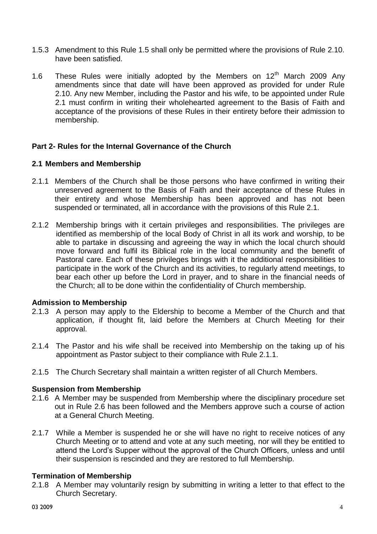- 1.5.3 Amendment to this Rule 1.5 shall only be permitted where the provisions of Rule 2.10. have been satisfied.
- 1.6 These Rules were initially adopted by the Members on  $12<sup>th</sup>$  March 2009 Any amendments since that date will have been approved as provided for under Rule 2.10. Any new Member, including the Pastor and his wife, to be appointed under Rule 2.1 must confirm in writing their wholehearted agreement to the Basis of Faith and acceptance of the provisions of these Rules in their entirety before their admission to membership.

### **Part 2- Rules for the Internal Governance of the Church**

#### **2.1 Members and Membership**

- 2.1.1 Members of the Church shall be those persons who have confirmed in writing their unreserved agreement to the Basis of Faith and their acceptance of these Rules in their entirety and whose Membership has been approved and has not been suspended or terminated, all in accordance with the provisions of this Rule 2.1.
- 2.1.2 Membership brings with it certain privileges and responsibilities. The privileges are identified as membership of the local Body of Christ in all its work and worship, to be able to partake in discussing and agreeing the way in which the local church should move forward and fulfil its Biblical role in the local community and the benefit of Pastoral care. Each of these privileges brings with it the additional responsibilities to participate in the work of the Church and its activities, to regularly attend meetings, to bear each other up before the Lord in prayer, and to share in the financial needs of the Church; all to be done within the confidentiality of Church membership.

#### **Admission to Membership**

- 2.1.3 A person may apply to the Eldership to become a Member of the Church and that application, if thought fit, laid before the Members at Church Meeting for their approval.
- 2.1.4 The Pastor and his wife shall be received into Membership on the taking up of his appointment as Pastor subject to their compliance with Rule 2.1.1.
- 2.1.5 The Church Secretary shall maintain a written register of all Church Members.

#### **Suspension from Membership**

- 2.1.6 A Member may be suspended from Membership where the disciplinary procedure set out in Rule 2.6 has been followed and the Members approve such a course of action at a General Church Meeting.
- 2.1.7 While a Member is suspended he or she will have no right to receive notices of any Church Meeting or to attend and vote at any such meeting, nor will they be entitled to attend the Lord's Supper without the approval of the Church Officers, unless and until their suspension is rescinded and they are restored to full Membership.

#### **Termination of Membership**

2.1.8 A Member may voluntarily resign by submitting in writing a letter to that effect to the Church Secretary.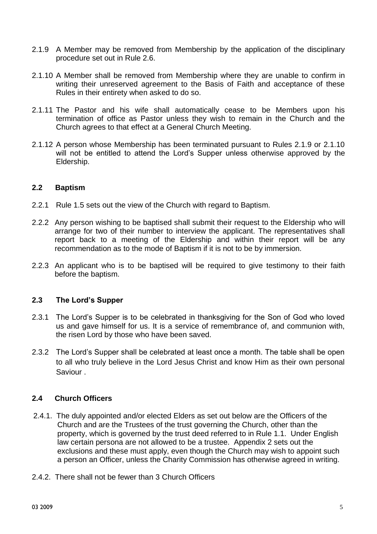- 2.1.9 A Member may be removed from Membership by the application of the disciplinary procedure set out in Rule 2.6.
- 2.1.10 A Member shall be removed from Membership where they are unable to confirm in writing their unreserved agreement to the Basis of Faith and acceptance of these Rules in their entirety when asked to do so.
- 2.1.11 The Pastor and his wife shall automatically cease to be Members upon his termination of office as Pastor unless they wish to remain in the Church and the Church agrees to that effect at a General Church Meeting.
- 2.1.12 A person whose Membership has been terminated pursuant to Rules 2.1.9 or 2.1.10 will not be entitled to attend the Lord's Supper unless otherwise approved by the Eldership.

#### **2.2 Baptism**

- 2.2.1 Rule 1.5 sets out the view of the Church with regard to Baptism.
- 2.2.2 Any person wishing to be baptised shall submit their request to the Eldership who will arrange for two of their number to interview the applicant. The representatives shall report back to a meeting of the Eldership and within their report will be any recommendation as to the mode of Baptism if it is not to be by immersion.
- 2.2.3 An applicant who is to be baptised will be required to give testimony to their faith before the baptism.

#### **2.3 The Lord's Supper**

- 2.3.1 The Lord's Supper is to be celebrated in thanksgiving for the Son of God who loved us and gave himself for us. It is a service of remembrance of, and communion with, the risen Lord by those who have been saved.
- 2.3.2 The Lord's Supper shall be celebrated at least once a month. The table shall be open to all who truly believe in the Lord Jesus Christ and know Him as their own personal Saviour .

#### **2.4 Church Officers**

- 2.4.1. The duly appointed and/or elected Elders as set out below are the Officers of the Church and are the Trustees of the trust governing the Church, other than the property, which is governed by the trust deed referred to in Rule 1.1. Under English law certain persona are not allowed to be a trustee. Appendix 2 sets out the exclusions and these must apply, even though the Church may wish to appoint such a person an Officer, unless the Charity Commission has otherwise agreed in writing.
- 2.4.2. There shall not be fewer than 3 Church Officers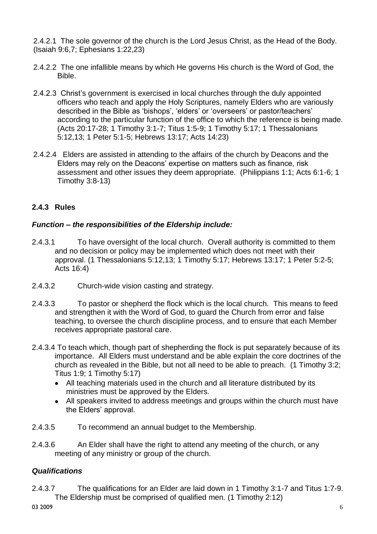2.4.2.1 The sole governor of the church is the Lord Jesus Christ, as the Head of the Body. (Isaiah 9:6,7; Ephesians 1:22,23)

- 2.4.2.2 The one infallible means by which He governs His church is the Word of God, the Bible.
- 2.4.2.3 Christ's government is exercised in local churches through the duly appointed officers who teach and apply the Holy Scriptures, namely Elders who are variously described in the Bible as 'bishops', 'elders' or 'overseers' or pastor/teachers' according to the particular function of the office to which the reference is being made. (Acts 20:17-28; 1 Timothy 3:1-7; Titus 1:5-9; 1 Timothy 5:17; 1 Thessalonians 5:12,13; 1 Peter 5:1-5; Hebrews 13:17; Acts 14:23)
- 2.4.2.4 Elders are assisted in attending to the affairs of the church by Deacons and the Elders may rely on the Deacons' expertise on matters such as finance, risk assessment and other issues they deem appropriate. (Philippians 1:1; Acts 6:1-6; 1 Timothy 3:8-13)

# **2.4.3 Rules**

### *Function – the responsibilities of the Eldership include:*

- 2.4.3.1 To have oversight of the local church. Overall authority is committed to them and no decision or policy may be implemented which does not meet with their approval. (1 Thessalonians 5:12,13; 1 Timothy 5:17; Hebrews 13:17; 1 Peter 5:2-5; Acts 16:4)
- 2.4.3.2 Church-wide vision casting and strategy.
- 2.4.3.3 To pastor or shepherd the flock which is the local church. This means to feed and strengthen it with the Word of God, to guard the Church from error and false teaching, to oversee the church discipline process, and to ensure that each Member receives appropriate pastoral care.
- 2.4.3.4 To teach which, though part of shepherding the flock is put separately because of its importance. All Elders must understand and be able explain the core doctrines of the church as revealed in the Bible, but not all need to be able to preach. (1 Timothy 3:2; Titus 1:9; 1 Timothy 5:17)
	- All teaching materials used in the church and all literature distributed by its ministries must be approved by the Elders.
	- All speakers invited to address meetings and groups within the church must have the Elders' approval.
- 2.4.3.5 To recommend an annual budget to the Membership.
- 2.4.3.6 An Elder shall have the right to attend any meeting of the church, or any meeting of any ministry or group of the church.

# *Qualifications*

2.4.3.7 The qualifications for an Elder are laid down in 1 Timothy 3:1-7 and Titus 1:7-9. The Eldership must be comprised of qualified men. (1 Timothy 2:12)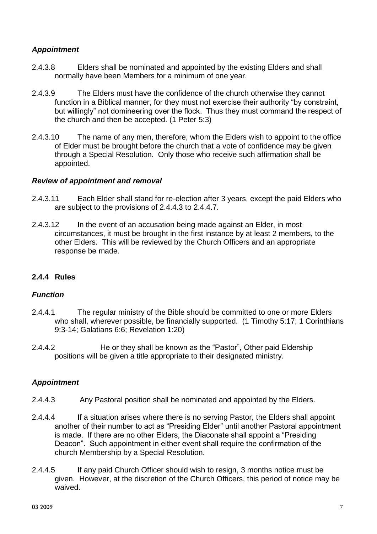# *Appointment*

- 2.4.3.8 Elders shall be nominated and appointed by the existing Elders and shall normally have been Members for a minimum of one year.
- 2.4.3.9 The Elders must have the confidence of the church otherwise they cannot function in a Biblical manner, for they must not exercise their authority "by constraint, but willingly" not domineering over the flock. Thus they must command the respect of the church and then be accepted. (1 Peter 5:3)
- 2.4.3.10 The name of any men, therefore, whom the Elders wish to appoint to the office of Elder must be brought before the church that a vote of confidence may be given through a Special Resolution. Only those who receive such affirmation shall be appointed.

#### *Review of appointment and removal*

- 2.4.3.11 Each Elder shall stand for re-election after 3 years, except the paid Elders who are subject to the provisions of 2.4.4.3 to 2.4.4.7.
- 2.4.3.12 In the event of an accusation being made against an Elder, in most circumstances, it must be brought in the first instance by at least 2 members, to the other Elders. This will be reviewed by the Church Officers and an appropriate response be made.

# **2.4.4 Rules**

# *Function*

- 2.4.4.1 The regular ministry of the Bible should be committed to one or more Elders who shall, wherever possible, be financially supported. (1 Timothy 5:17; 1 Corinthians 9:3-14; Galatians 6:6; Revelation 1:20)
- 2.4.4.2 He or they shall be known as the "Pastor", Other paid Eldership positions will be given a title appropriate to their designated ministry.

# *Appointment*

- 2.4.4.3 Any Pastoral position shall be nominated and appointed by the Elders.
- 2.4.4.4 If a situation arises where there is no serving Pastor, the Elders shall appoint another of their number to act as "Presiding Elder" until another Pastoral appointment is made. If there are no other Elders, the Diaconate shall appoint a "Presiding Deacon". Such appointment in either event shall require the confirmation of the church Membership by a Special Resolution.
- 2.4.4.5 If any paid Church Officer should wish to resign, 3 months notice must be given. However, at the discretion of the Church Officers, this period of notice may be waived.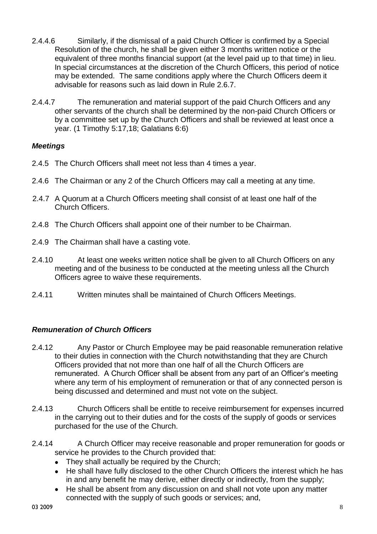- 2.4.4.6 Similarly, if the dismissal of a paid Church Officer is confirmed by a Special Resolution of the church, he shall be given either 3 months written notice or the equivalent of three months financial support (at the level paid up to that time) in lieu. In special circumstances at the discretion of the Church Officers, this period of notice may be extended. The same conditions apply where the Church Officers deem it advisable for reasons such as laid down in Rule 2.6.7.
- 2.4.4.7 The remuneration and material support of the paid Church Officers and any other servants of the church shall be determined by the non-paid Church Officers or by a committee set up by the Church Officers and shall be reviewed at least once a year. (1 Timothy 5:17,18; Galatians 6:6)

### *Meetings*

- 2.4.5 The Church Officers shall meet not less than 4 times a year.
- 2.4.6 The Chairman or any 2 of the Church Officers may call a meeting at any time.
- 2.4.7 A Quorum at a Church Officers meeting shall consist of at least one half of the Church Officers.
- 2.4.8 The Church Officers shall appoint one of their number to be Chairman.
- 2.4.9 The Chairman shall have a casting vote.
- 2.4.10 At least one weeks written notice shall be given to all Church Officers on any meeting and of the business to be conducted at the meeting unless all the Church Officers agree to waive these requirements.
- 2.4.11 Written minutes shall be maintained of Church Officers Meetings.

#### *Remuneration of Church Officers*

- 2.4.12 Any Pastor or Church Employee may be paid reasonable remuneration relative to their duties in connection with the Church notwithstanding that they are Church Officers provided that not more than one half of all the Church Officers are remunerated. A Church Officer shall be absent from any part of an Officer's meeting where any term of his employment of remuneration or that of any connected person is being discussed and determined and must not vote on the subject.
- 2.4.13 Church Officers shall be entitle to receive reimbursement for expenses incurred in the carrying out to their duties and for the costs of the supply of goods or services purchased for the use of the Church.
- 2.4.14 A Church Officer may receive reasonable and proper remuneration for goods or service he provides to the Church provided that:
	- They shall actually be required by the Church;
	- He shall have fully disclosed to the other Church Officers the interest which he has in and any benefit he may derive, either directly or indirectly, from the supply;
	- He shall be absent from any discussion on and shall not vote upon any matter connected with the supply of such goods or services; and,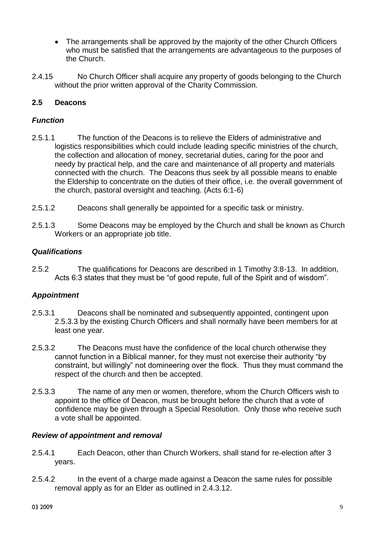- The arrangements shall be approved by the majority of the other Church Officers who must be satisfied that the arrangements are advantageous to the purposes of the Church.
- 2.4.15 No Church Officer shall acquire any property of goods belonging to the Church without the prior written approval of the Charity Commission.

# **2.5 Deacons**

# *Function*

- 2.5.1.1 The function of the Deacons is to relieve the Elders of administrative and logistics responsibilities which could include leading specific ministries of the church, the collection and allocation of money, secretarial duties, caring for the poor and needy by practical help, and the care and maintenance of all property and materials connected with the church. The Deacons thus seek by all possible means to enable the Eldership to concentrate on the duties of their office, i.e. the overall government of the church, pastoral oversight and teaching. (Acts 6:1-6)
- 2.5.1.2 Deacons shall generally be appointed for a specific task or ministry.
- 2.5.1.3 Some Deacons may be employed by the Church and shall be known as Church Workers or an appropriate job title.

### *Qualifications*

2.5.2 The qualifications for Deacons are described in 1 Timothy 3:8-13. In addition, Acts 6:3 states that they must be "of good repute, full of the Spirit and of wisdom".

# *Appointment*

- 2.5.3.1 Deacons shall be nominated and subsequently appointed, contingent upon 2.5.3.3 by the existing Church Officers and shall normally have been members for at least one year.
- 2.5.3.2 The Deacons must have the confidence of the local church otherwise they cannot function in a Biblical manner, for they must not exercise their authority "by constraint, but willingly" not domineering over the flock. Thus they must command the respect of the church and then be accepted.
- 2.5.3.3 The name of any men or women, therefore, whom the Church Officers wish to appoint to the office of Deacon, must be brought before the church that a vote of confidence may be given through a Special Resolution. Only those who receive such a vote shall be appointed.

#### *Review of appointment and removal*

- 2.5.4.1 Each Deacon, other than Church Workers, shall stand for re-election after 3 years.
- 2.5.4.2 In the event of a charge made against a Deacon the same rules for possible removal apply as for an Elder as outlined in 2.4.3.12.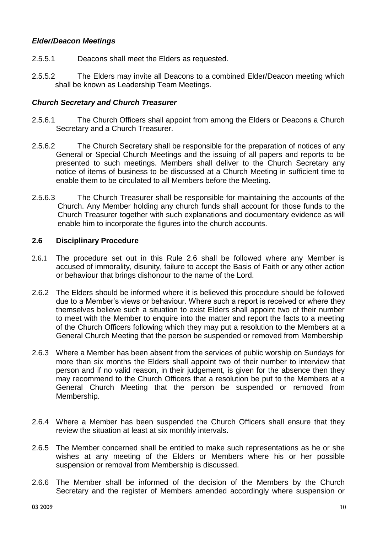# *Elder/Deacon Meetings*

- 2.5.5.1 Deacons shall meet the Elders as requested.
- 2.5.5.2 The Elders may invite all Deacons to a combined Elder/Deacon meeting which shall be known as Leadership Team Meetings.

#### *Church Secretary and Church Treasurer*

- 2.5.6.1 The Church Officers shall appoint from among the Elders or Deacons a Church Secretary and a Church Treasurer.
- 2.5.6.2 The Church Secretary shall be responsible for the preparation of notices of any General or Special Church Meetings and the issuing of all papers and reports to be presented to such meetings. Members shall deliver to the Church Secretary any notice of items of business to be discussed at a Church Meeting in sufficient time to enable them to be circulated to all Members before the Meeting.
- 2.5.6.3 The Church Treasurer shall be responsible for maintaining the accounts of the Church. Any Member holding any church funds shall account for those funds to the Church Treasurer together with such explanations and documentary evidence as will enable him to incorporate the figures into the church accounts.

#### **2.6 Disciplinary Procedure**

- 2.6.1 The procedure set out in this Rule 2.6 shall be followed where any Member is accused of immorality, disunity, failure to accept the Basis of Faith or any other action or behaviour that brings dishonour to the name of the Lord.
- 2.6.2 The Elders should be informed where it is believed this procedure should be followed due to a Member's views or behaviour. Where such a report is received or where they themselves believe such a situation to exist Elders shall appoint two of their number to meet with the Member to enquire into the matter and report the facts to a meeting of the Church Officers following which they may put a resolution to the Members at a General Church Meeting that the person be suspended or removed from Membership
- 2.6.3 Where a Member has been absent from the services of public worship on Sundays for more than six months the Elders shall appoint two of their number to interview that person and if no valid reason, in their judgement, is given for the absence then they may recommend to the Church Officers that a resolution be put to the Members at a General Church Meeting that the person be suspended or removed from Membership.
- 2.6.4 Where a Member has been suspended the Church Officers shall ensure that they review the situation at least at six monthly intervals.
- 2.6.5 The Member concerned shall be entitled to make such representations as he or she wishes at any meeting of the Elders or Members where his or her possible suspension or removal from Membership is discussed.
- 2.6.6 The Member shall be informed of the decision of the Members by the Church Secretary and the register of Members amended accordingly where suspension or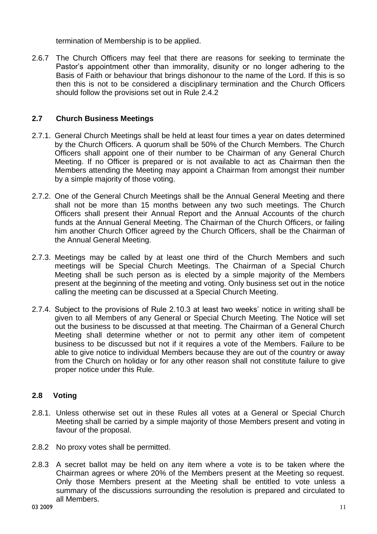termination of Membership is to be applied.

2.6.7 The Church Officers may feel that there are reasons for seeking to terminate the Pastor's appointment other than immorality, disunity or no longer adhering to the Basis of Faith or behaviour that brings dishonour to the name of the Lord. If this is so then this is not to be considered a disciplinary termination and the Church Officers should follow the provisions set out in Rule 2.4.2

### **2.7 Church Business Meetings**

- 2.7.1. General Church Meetings shall be held at least four times a year on dates determined by the Church Officers. A quorum shall be 50% of the Church Members. The Church Officers shall appoint one of their number to be Chairman of any General Church Meeting. If no Officer is prepared or is not available to act as Chairman then the Members attending the Meeting may appoint a Chairman from amongst their number by a simple majority of those voting.
- 2.7.2. One of the General Church Meetings shall be the Annual General Meeting and there shall not be more than 15 months between any two such meetings. The Church Officers shall present their Annual Report and the Annual Accounts of the church funds at the Annual General Meeting. The Chairman of the Church Officers, or failing him another Church Officer agreed by the Church Officers, shall be the Chairman of the Annual General Meeting.
- 2.7.3. Meetings may be called by at least one third of the Church Members and such meetings will be Special Church Meetings. The Chairman of a Special Church Meeting shall be such person as is elected by a simple majority of the Members present at the beginning of the meeting and voting. Only business set out in the notice calling the meeting can be discussed at a Special Church Meeting.
- 2.7.4. Subject to the provisions of Rule 2.10.3 at least two weeks' notice in writing shall be given to all Members of any General or Special Church Meeting. The Notice will set out the business to be discussed at that meeting. The Chairman of a General Church Meeting shall determine whether or not to permit any other item of competent business to be discussed but not if it requires a vote of the Members. Failure to be able to give notice to individual Members because they are out of the country or away from the Church on holiday or for any other reason shall not constitute failure to give proper notice under this Rule.

# **2.8 Voting**

- 2.8.1. Unless otherwise set out in these Rules all votes at a General or Special Church Meeting shall be carried by a simple majority of those Members present and voting in favour of the proposal.
- 2.8.2 No proxy votes shall be permitted.
- 2.8.3 A secret ballot may be held on any item where a vote is to be taken where the Chairman agrees or where 20% of the Members present at the Meeting so request. Only those Members present at the Meeting shall be entitled to vote unless a summary of the discussions surrounding the resolution is prepared and circulated to all Members.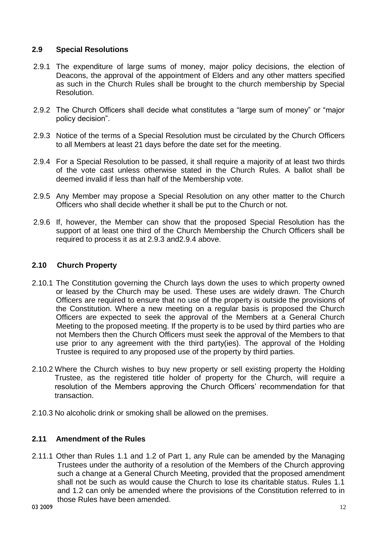# **2.9 Special Resolutions**

- 2.9.1 The expenditure of large sums of money, major policy decisions, the election of Deacons, the approval of the appointment of Elders and any other matters specified as such in the Church Rules shall be brought to the church membership by Special Resolution.
- 2.9.2 The Church Officers shall decide what constitutes a "large sum of money" or "major policy decision".
- 2.9.3 Notice of the terms of a Special Resolution must be circulated by the Church Officers to all Members at least 21 days before the date set for the meeting.
- 2.9.4 For a Special Resolution to be passed, it shall require a majority of at least two thirds of the vote cast unless otherwise stated in the Church Rules. A ballot shall be deemed invalid if less than half of the Membership vote.
- 2.9.5 Any Member may propose a Special Resolution on any other matter to the Church Officers who shall decide whether it shall be put to the Church or not.
- 2.9.6 If, however, the Member can show that the proposed Special Resolution has the support of at least one third of the Church Membership the Church Officers shall be required to process it as at 2.9.3 and2.9.4 above.

### **2.10 Church Property**

- 2.10.1 The Constitution governing the Church lays down the uses to which property owned or leased by the Church may be used. These uses are widely drawn. The Church Officers are required to ensure that no use of the property is outside the provisions of the Constitution. Where a new meeting on a regular basis is proposed the Church Officers are expected to seek the approval of the Members at a General Church Meeting to the proposed meeting. If the property is to be used by third parties who are not Members then the Church Officers must seek the approval of the Members to that use prior to any agreement with the third party(ies). The approval of the Holding Trustee is required to any proposed use of the property by third parties.
- 2.10.2 Where the Church wishes to buy new property or sell existing property the Holding Trustee, as the registered title holder of property for the Church, will require a resolution of the Members approving the Church Officers' recommendation for that transaction.
- 2.10.3 No alcoholic drink or smoking shall be allowed on the premises.

#### **2.11 Amendment of the Rules**

2.11.1 Other than Rules 1.1 and 1.2 of Part 1, any Rule can be amended by the Managing Trustees under the authority of a resolution of the Members of the Church approving such a change at a General Church Meeting, provided that the proposed amendment shall not be such as would cause the Church to lose its charitable status. Rules 1.1 and 1.2 can only be amended where the provisions of the Constitution referred to in those Rules have been amended.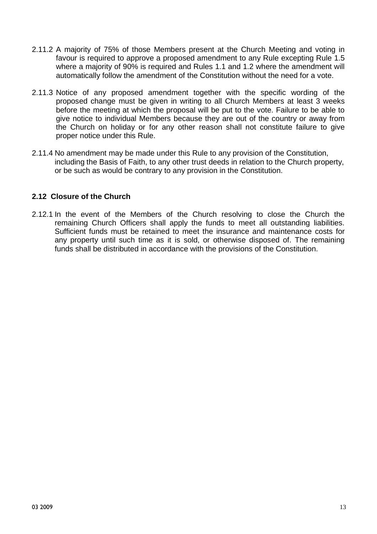- 2.11.2 A majority of 75% of those Members present at the Church Meeting and voting in favour is required to approve a proposed amendment to any Rule excepting Rule 1.5 where a majority of 90% is required and Rules 1.1 and 1.2 where the amendment will automatically follow the amendment of the Constitution without the need for a vote.
- 2.11.3 Notice of any proposed amendment together with the specific wording of the proposed change must be given in writing to all Church Members at least 3 weeks before the meeting at which the proposal will be put to the vote. Failure to be able to give notice to individual Members because they are out of the country or away from the Church on holiday or for any other reason shall not constitute failure to give proper notice under this Rule.
- 2.11.4 No amendment may be made under this Rule to any provision of the Constitution, including the Basis of Faith, to any other trust deeds in relation to the Church property, or be such as would be contrary to any provision in the Constitution.

# **2.12 Closure of the Church**

2.12.1 In the event of the Members of the Church resolving to close the Church the remaining Church Officers shall apply the funds to meet all outstanding liabilities. Sufficient funds must be retained to meet the insurance and maintenance costs for any property until such time as it is sold, or otherwise disposed of. The remaining funds shall be distributed in accordance with the provisions of the Constitution.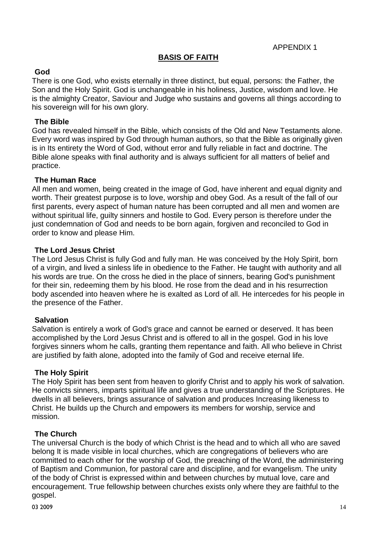APPENDIX 1

# **BASIS OF FAITH**

### **God**

There is one God, who exists eternally in three distinct, but equal, persons: the Father, the Son and the Holy Spirit. God is unchangeable in his holiness, Justice, wisdom and love. He is the almighty Creator, Saviour and Judge who sustains and governs all things according to his sovereign will for his own glory.

# **The Bible**

God has revealed himself in the Bible, which consists of the Old and New Testaments alone. Every word was inspired by God through human authors, so that the Bible as originally given is in Its entirety the Word of God, without error and fully reliable in fact and doctrine. The Bible alone speaks with final authority and is always sufficient for all matters of belief and practice.

#### **The Human Race**

All men and women, being created in the image of God, have inherent and equal dignity and worth. Their greatest purpose is to love, worship and obey God. As a result of the fall of our first parents, every aspect of human nature has been corrupted and all men and women are without spiritual life, guilty sinners and hostile to God. Every person is therefore under the just condemnation of God and needs to be born again, forgiven and reconciled to God in order to know and please Him.

### **The Lord Jesus Christ**

The Lord Jesus Christ is fully God and fully man. He was conceived by the Holy Spirit, born of a virgin, and lived a sinless life in obedience to the Father. He taught with authority and all his words are true. On the cross he died in the place of sinners, bearing God's punishment for their sin, redeeming them by his blood. He rose from the dead and in his resurrection body ascended into heaven where he is exalted as Lord of all. He intercedes for his people in the presence of the Father.

#### **Salvation**

Salvation is entirely a work of God's grace and cannot be earned or deserved. It has been accomplished by the Lord Jesus Christ and is offered to all in the gospel. God in his love forgives sinners whom he calls, granting them repentance and faith. All who believe in Christ are justified by faith alone, adopted into the family of God and receive eternal life.

#### **The Holy Spirit**

The Holy Spirit has been sent from heaven to glorify Christ and to apply his work of salvation. He convicts sinners, imparts spiritual life and gives a true understanding of the Scriptures. He dwells in all believers, brings assurance of salvation and produces Increasing likeness to Christ. He builds up the Church and empowers its members for worship, service and mission.

#### **The Church**

The universal Church is the body of which Christ is the head and to which all who are saved belong It is made visible in local churches, which are congregations of believers who are committed to each other for the worship of God, the preaching of the Word, the administering of Baptism and Communion, for pastoral care and discipline, and for evangelism. The unity of the body of Christ is expressed within and between churches by mutual love, care and encouragement. True fellowship between churches exists only where they are faithful to the gospel.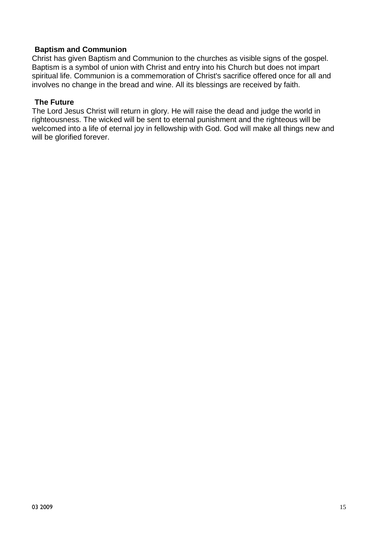#### **Baptism and Communion**

Christ has given Baptism and Communion to the churches as visible signs of the gospel. Baptism is a symbol of union with Christ and entry into his Church but does not impart spiritual life. Communion is a commemoration of Christ's sacrifice offered once for all and involves no change in the bread and wine. All its blessings are received by faith.

#### **The Future**

The Lord Jesus Christ will return in glory. He will raise the dead and judge the world in righteousness. The wicked will be sent to eternal punishment and the righteous will be welcomed into a life of eternal joy in fellowship with God. God will make all things new and will be glorified forever.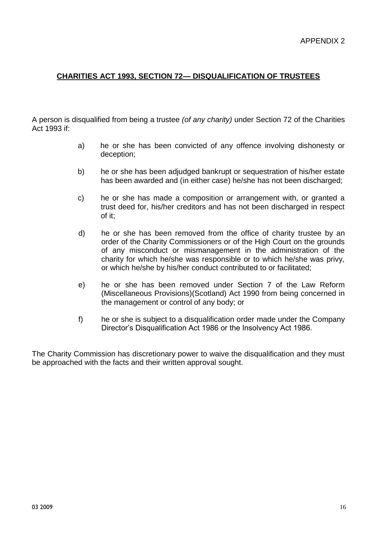# **CHARITIES ACT 1993, SECTION 72— DISQUALIFICATION OF TRUSTEES**

A person is disqualified from being a trustee *(of any charity)* under Section 72 of the Charities Act 1993 if:

- a) he or she has been convicted of any offence involving dishonesty or deception;
- b) he or she has been adjudged bankrupt or sequestration of his/her estate has been awarded and (in either case) he/she has not been discharged;
- c) he or she has made a composition or arrangement with, or granted a trust deed for, his/her creditors and has not been discharged in respect of it;
- d) he or she has been removed from the office of charity trustee by an order of the Charity Commissioners or of the High Court on the grounds of any misconduct or mismanagement in the administration of the charity for which he/she was responsible or to which he/she was privy, or which he/she by his/her conduct contributed to or facilitated;
- e) he or she has been removed under Section 7 of the Law Reform (Miscellaneous Provisions)(Scotland) Act 1990 from being concerned in the management or control of any body; or
- f) he or she is subject to a disqualification order made under the Company Director's Disqualification Act 1986 or the Insolvency Act 1986.

The Charity Commission has discretionary power to waive the disqualification and they must be approached with the facts and their written approval sought.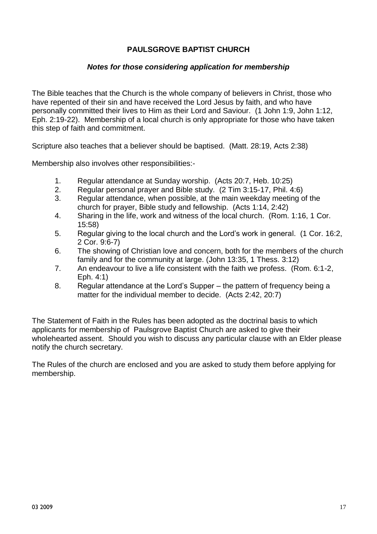# **PAULSGROVE BAPTIST CHURCH**

#### *Notes for those considering application for membership*

The Bible teaches that the Church is the whole company of believers in Christ, those who have repented of their sin and have received the Lord Jesus by faith, and who have personally committed their lives to Him as their Lord and Saviour. (1 John 1:9, John 1:12, Eph. 2:19-22). Membership of a local church is only appropriate for those who have taken this step of faith and commitment.

Scripture also teaches that a believer should be baptised. (Matt. 28:19, Acts 2:38)

Membership also involves other responsibilities:-

- 1. Regular attendance at Sunday worship. (Acts 20:7, Heb. 10:25)
- 2. Regular personal prayer and Bible study. (2 Tim 3:15-17, Phil. 4:6)
- 3. Regular attendance, when possible, at the main weekday meeting of the church for prayer, Bible study and fellowship. (Acts 1:14, 2:42)
- 4. Sharing in the life, work and witness of the local church. (Rom. 1:16, 1 Cor. 15:58)
- 5. Regular giving to the local church and the Lord's work in general. (1 Cor. 16:2, 2 Cor. 9:6-7)
- 6. The showing of Christian love and concern, both for the members of the church family and for the community at large. (John 13:35, 1 Thess. 3:12)
- 7. An endeavour to live a life consistent with the faith we profess. (Rom. 6:1-2, Eph. 4:1)
- 8. Regular attendance at the Lord's Supper the pattern of frequency being a matter for the individual member to decide. (Acts 2:42, 20:7)

The Statement of Faith in the Rules has been adopted as the doctrinal basis to which applicants for membership of Paulsgrove Baptist Church are asked to give their wholehearted assent. Should you wish to discuss any particular clause with an Elder please notify the church secretary.

The Rules of the church are enclosed and you are asked to study them before applying for membership.